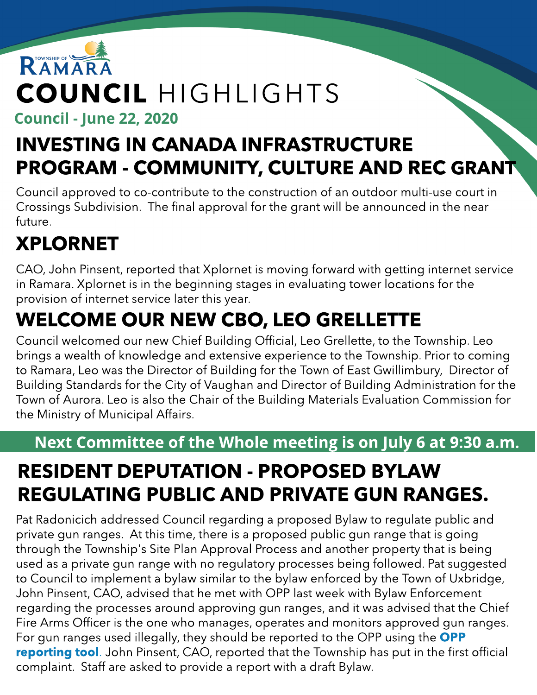# RAMARA COUNCIL HIGHLIGHTS

Council - June 22, 2020

### INVESTING IN CANADA INFRASTRUCTURE PROGRAM - COMMUNITY, CULTURE AND REC GRANT

Council approved to co-contribute to the construction of an outdoor multi-use court in Crossings Subdivision. The final approval for the grant will be announced in the near future.

## XPLORNET

CAO, John Pinsent, reported that Xplornet is moving forward with getting internet service in Ramara. Xplornet is in the beginning stages in evaluating tower locations for the provision of internet service later this year.

### WELCOME OUR NEW CBO, LEO GRELLETTE

Council welcomed our new Chief Building Official, Leo Grellette, to the Township. Leo brings a wealth of knowledge and extensive experience to the Township. Prior to coming to Ramara, Leo was the Director of Building for the Town of East Gwillimbury, Director of Building Standards for the City of Vaughan and Director of Building Administration for the Town of Aurora. Leo is also the Chair of the Building Materials Evaluation Commission for the Ministry of Municipal Affairs.

#### Next Committee of the Whole meeting is on July 6 at 9:30 a.m.

### RESIDENT DEPUTATION - PROPOSED BYLAW REGULATING PUBLIC AND PRIVATE GUN RANGES.

Pat Radonicich addressed Council regarding a proposed Bylaw to regulate public and private gun ranges. At this time, there is a proposed public gun range that is going through the Township's Site Plan Approval Process and another property that is being used as a private gun range with no regulatory processes being followed. Pat suggested to Council to implement a bylaw similar to the bylaw enforced by the Town of Uxbridge, John Pinsent, CAO, advised that he met with OPP last week with Bylaw Enforcement regarding the processes around approving gun ranges, and it was advised that the Chief Fire Arms Officer is the one who manages, operates and monitors approved gun ranges. For gun ranges used illegally, they should be reported to the [OPP](https://www.opp.ca/index.php?id=132&lng=en) using the **OPP** [reporting](https://www.opp.ca/index.php?id=132&lng=en) [tool](https://www.opp.ca/index.php?id=132&lng=en). John Pinsent, CAO, reported that the Township has put in the first official complaint. Staff are asked to provide a report with a draft Bylaw.